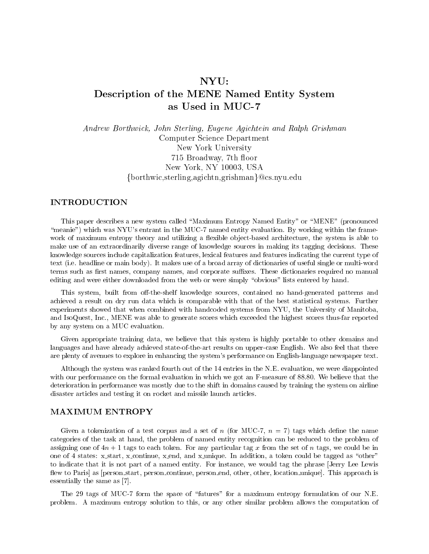# NYU: Description of the MENE Named Entity System as Used in MUC-7

Andrew Borthwick, John Sterling, Eugene Agichtein and Ralph Grishman Computer Science Department New York University 715 Broadway, 7th floor New York, NY 10003, USA  $\{borthwic, sterling,agichtn,grishman\}$ @cs.nyu.edu

This paper describes a new system called "Maximum Entropy Named Entity" or "MENE" (pronounced "meanie") which was NYU's entrant in the MUC-7 named entity evaluation. By working within the framework of maximum entropy theory and utilizing a flexible object-based architecture, the system is able to make use of an extraordinarily diverse range of knowledge sources in making its tagging decisions. These knowledge sources include capitalization features, lexical features and features indicating the current type of text (i.e. headline or main body). It makes use of a broad array of dictionaries of useful single or multi-word terms such as first names, company names, and corporate suffixes. These dictionaries required no manual editing and were either downloaded from the web or were simply "obvious" lists entered by hand.

This system, built from off-the-shelf knowledge sources, contained no hand-generated patterns and achieved a result on dry run data which is comparable with that of the best statistical systems. Further experiments showed that when combined with handcoded systems from NYU, the University of Manitoba, and IsoQuest, Inc., MENE was able to generate scores which exceeded the highest scores thus-far reported by any system on a MUC evaluation.

Given appropriate training data, we believe that this system is highly portable to other domains and languages and have already achieved state-of-the-art results on upper-case English. We also feel that there are plenty of avenues to explore in enhancing the system's performance on English-language newspaper text.

Although the system was ranked fourth out of the 14 entries in the N.E. evaluation, we were diappointed with our performance on the formal evaluation in which we got an F-measure of 88.80. We believe that the deterioration in performance was mostly due to the shift in domains caused by training the system on airline disaster articles and testing it on rocket and missile launch articles.

# **MAXIMUM ENTROPY**

Given a tokenization of a test corpus and a set of n (for MUC-7,  $n = 7$ ) tags which define the name categories of the task at hand, the problem of named entity recognition can be reduced to the problem of assigning one of  $4n + 1$  tags to each token. For any particular tag x from the set of n tags, we could be in one of 4 states: x\_start, x\_continue, x\_end, and x\_unique. In addition, a token could be tagged as "other" to indicate that it is not part of a named entity. For instance, we would tag the phrase [Jerry Lee Lewis flew to Paris] as [person\_start, person\_continue, person\_end, other, other, location\_unique]. This approach is essentially the same as [7].

The 29 tags of MUC-7 form the space of "futures" for a maximum entropy formulation of our N.E. problem. A maximum entropy solution to this, or any other similar problem allows the computation of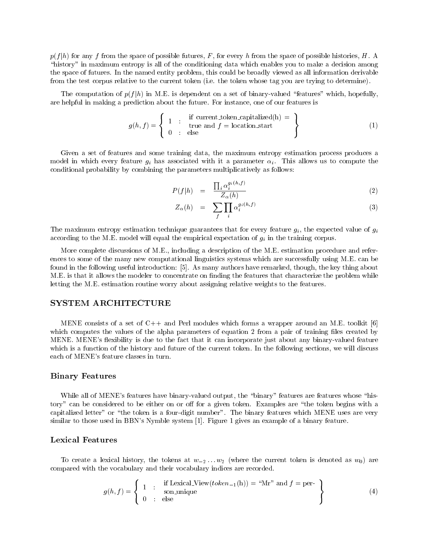$p(f|h)$  for any f from the space of possible futures, F, for every h from the space of possible histories, H. A "history" in maximum entropy is all of the conditioning data which enables you to make a decision among the space of futures. In the named entity problem, this could be broadly viewed as all information derivable from the test corpus relative to the current token (i.e. the token whose tag you are trying to determine).

The computation of  $p(f|h)$  in M.E. is dependent on a set of binary-valued "features" which, hopefully, are helpful in making a prediction about the future. For instance, one of our features is

$$
g(h, f) = \left\{ \begin{array}{rcl} 1 & \text{if current\_token\_capitalized(h)} = \\ 0 & \text{if the and } f = \text{location\_start} \\ 0 & \text{else} \end{array} \right\} \tag{1}
$$

Given a set of features and some training data, the maximum entropy estimation process produces a model in which every feature gi has associated with it <sup>a</sup> parameter i . This allows us to compute the conditional probability by combining the parameters multiplicatively as follows:

$$
P(f|h) = \frac{\prod_{i} \alpha_i^{g_i(h,f)}}{Z_{\alpha}(h)}
$$
\n(2)

$$
Z_{\alpha}(h) = \sum_{f} \prod_{i} \alpha_i^{g_i(h,f)} \tag{3}
$$

The maximum entropy entropy estimation technique guarantees that for every feature given  $\mathcal{H}^{\mathbf{p}}$ according to the M.E. model will expect with the empirical expectation of given  $\mathcal{M}$  in the training corpus. The training corpus of given  $\mathcal{M}$ 

More complete discussions of M.E., including a description of the M.E. estimation procedure and references to some of the many new computational linguistics systems which are successfully using M.E. can be found in the following useful introduction: [5]. As many authors have remarked, though, the key thing about M.E. is that it allows the modeler to concentrate on finding the features that characterize the problem while letting the M.E. estimation routine worry about assigning relative weights to the features.

#### **SYSTEM ARCHITECTURE**

MENE consists of a set of  $C++$  and Perl modules which forms a wrapper around an M.E. toolkit [6] which computes the values of the alpha parameters of equation 2 from a pair of training files created by MENE. MENE's flexibility is due to the fact that it can incorporate just about any binary-valued feature which is a function of the history and future of the current token. In the following sections, we will discuss each of MENE's feature classes in turn.

#### Binary Features

While all of MENE's features have binary-valued output, the "binary" features are features whose "history" can be considered to be either on or off for a given token. Examples are "the token begins with a capitalized letter" or "the token is a four-digit number". The binary features which MENE uses are very similar to those used in BBN's Nymble system [1]. Figure 1 gives an example of a binary feature.

### Lexical Features

To create a lexical history, the tokens at  $w_{-2} \ldots w_2$  (where the current token is denoted as  $w_0$ ) are compared with the vocabulary and their vocabulary indices are recorded.

$$
g(h,f) = \left\{ \begin{array}{rcl} 1 & \text{if Lexical-View}(token_{-1}(h)) = \text{``Mr''} \text{ and } f = \text{per-} \\ 0 & \text{else} \end{array} \right\} \tag{4}
$$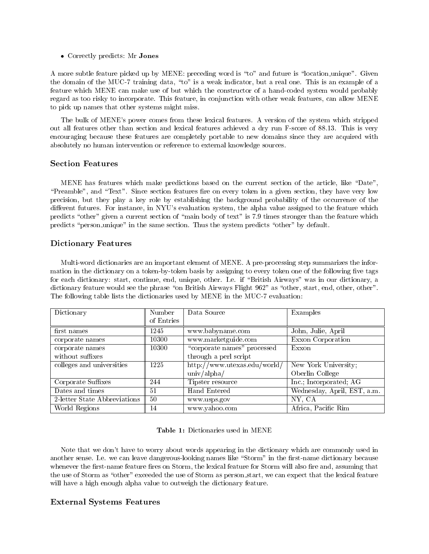Correctly predicts: Mr Jones

A more subtle feature picked up by MENE: preceding word is "to" and future is "location unique". Given the domain of the MUC-7 training data, "to" is a weak indicator, but a real one. This is an example of a feature which MENE can make use of but which the constructor of a hand-coded system would probably regard as too risky to incorporate. This feature, in conjunction with other weak features, can allow MENE to pick up names that other systems might miss.

The bulk of MENE's power comes from these lexical features. A version of the system which stripped out all features other than section and lexical features achieved a dry run F-score of 88.13. This is very encouraging because these features are completely portable to new domains since they are acquired with absolutely no human intervention or reference to external knowledge sources.

#### **Section Features**

MENE has features which make predictions based on the current section of the article, like "Date", "Preamble", and "Text". Since section features fire on every token in a given section, they have very low precision, but they play a key role by establishing the background probability of the occurrence of the different futures. For instance, in NYU's evaluation system, the alpha value assigned to the feature which predicts "other" given a current section of "main body of text" is 7.9 times stronger than the feature which predicts "person unique" in the same section. Thus the system predicts "other" by default.

# Dictionary Features

Multi-word dictionaries are an important element of MENE. A pre-processing step summarizes the information in the dictionary on a token-by-token basis by assigning to every token one of the following five tags for each dictionary: start, continue, end, unique, other. I.e. if \British Airways" was in our dictionary, a dictionary feature would see the phrase "on British Airways Flight 962" as "other, start, end, other, other". The following table lists the dictionaries used by MENE in the MUC-7 evaluation:

| Dictionary                   | Number     | Data Source                  | Examples                    |
|------------------------------|------------|------------------------------|-----------------------------|
|                              | of Entries |                              |                             |
| first names                  | 1245       | www.babyname.com             | John, Julie, April          |
| corporate names              | 10300      | www.marketguide.com          | Exxon Corporation           |
| corporate names              | 10300      | "corporate names" processed  | Exxon                       |
| without suffixes             |            | through a perl script        |                             |
| colleges and universities    | 1225       | http://www.utexas.edu/world/ | New York University;        |
|                              |            | univ/alpha/                  | Oberlin College             |
| Corporate Suffixes           | 244        | Tipster resource             | Inc.; Incorporated; AG      |
| Dates and times              | 51         | Hand Entered                 | Wednesday, April, EST, a.m. |
| 2-letter State Abbreviations | 50         | www.usps.gov                 | NY, CA                      |
| World Regions                | 14         | www.yahoo.com                | Africa, Pacific Rim         |

### Table 1: Dictionaries used in MENE

Note that we don't have to worry about words appearing in the dictionary which are commonly used in another sense. I.e. we can leave dangerous-looking names like "Storm" in the first-name dictionary because whenever the first-name feature fires on Storm, the lexical feature for Storm will also fire and, assuming that the use of Storm as "other" exceeded the use of Storm as person\_start, we can expect that the lexical feature will have a high enough alpha value to outweigh the dictionary feature.

# External Systems Features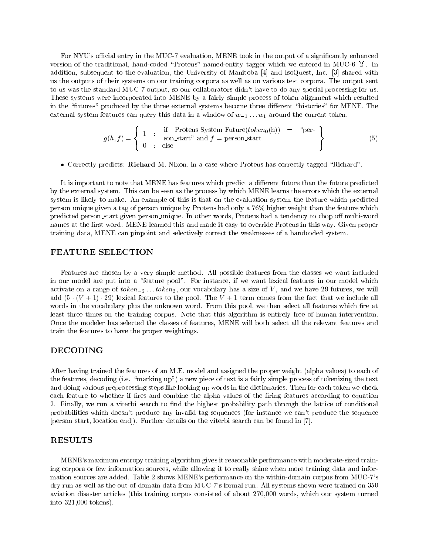For NYU's official entry in the MUC-7 evaluation, MENE took in the output of a significantly enhanced version of the traditional, hand-coded \Proteus" named-entity tagger which we entered in MUC-6 [2]. In addition, subsequent to the evaluation, the University of Manitoba [4] and IsoQuest, Inc. [3] shared with us the outputs of their systems on our training corpora as well as on various test corpora. The output sent to us was the standard MUC-7 output, so our collaborators didn't have to do any special processing for us. These systems were incorporated into MENE by a fairly simple process of token alignment which resulted in the "futures" produced by the three external systems become three different "histories" for MENE. The external system features can query this data in a window of  $w_{-1} \ldots w_1$  around the current token.

$$
g(h, f) = \left\{ \begin{array}{rcl} 1 & \text{if} & \text{Proteus}\text{-}System\text{-}Future(token_0(h)) & = & \text{``per-} \\ 0 & \text{:} & \text{else} \end{array} \right\} \tag{5}
$$

• Correctly predicts: Richard M. Nixon, in a case where Proteus has correctly tagged "Richard".

It is important to note that MENE has features which predict a different future than the future predicted by the external system. This can be seen as the process by which MENE learns the errors which the external system is likely to make. An example of this is that on the evaluation system the feature which predicted person unique given a tag of person unique by Proteus had only a 76% higher weight than the feature which predicted person\_start given person\_unique. In other words, Proteus had a tendency to chop off multi-word names at the first word. MENE learned this and made it easy to override Proteus in this way. Given proper training data, MENE can pinpoint and selectively correct the weaknesses of a handcoded system.

# FEATURE SELECTION

Features are chosen by a very simple method. All possible features from the classes we want included in our model are put into a "feature pool". For instance, if we want lexical features in our model which activate on a range of  $token_{-2} \dots token_{2}$ , our vocabulary has a size of V, and we have 29 futures, we will add  $(5 \cdot (V + 1) \cdot 29)$  lexical features to the pool. The V + 1 term comes from the fact that we include all words in the vocabulary plus the unknown word. From this pool, we then select all features which fire at least three times on the training corpus. Note that this algorithm is entirely free of human intervention. Once the modeler has selected the classes of features, MENE will both select all the relevant features and train the features to have the proper weightings.

# DECODING

After having trained the features of an M.E. model and assigned the proper weight (alpha values) to each of the features, decoding (i.e. \marking up") a new piece of text is a fairly simple process of tokenizing the text and doing various preprocessing steps like looking up words in the dictionaries. Then for each token we check each feature to whether if fires and combine the alpha values of the firing features according to equation 2. Finally, we run a viterbi search to find the highest probability path through the lattice of conditional probabilities which doesn't produce any invalid tag sequences (for instance we can't produce the sequence [person start, location end]). Further details on the viterbi search can be found in [7].

# **RESULTS**

MENE's maximum entropy training algorithm gives it reasonable performance with moderate-sized training corpora or few information sources, while allowing it to really shine when more training data and information sources are added. Table 2 shows MENE's performance on the within-domain corpus from MUC-7's dry run as well as the out-of-domain data from MUC-7's formal run. All systems shown were trained on 350 aviation disaster articles (this training corpus consisted of about 270,000 words, which our system turned into 321,000 tokens).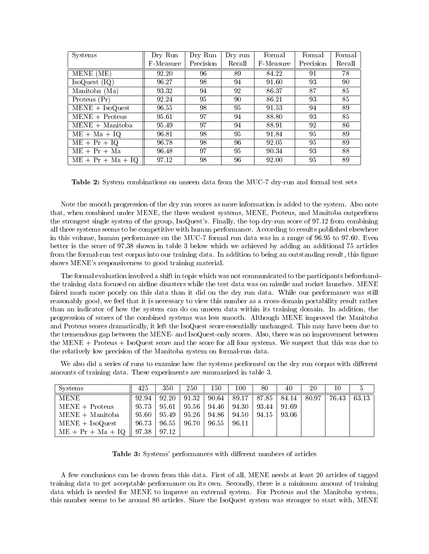| <b>Systems</b>      | Dry Run   | Dry Run   | Dry run | Formal    | Formal    | Formal |
|---------------------|-----------|-----------|---------|-----------|-----------|--------|
|                     | F-Measure | Precision | Recall  | F-Measure | Precision | Recall |
| MENE (ME)           | 92.20     | 96        | 89      | 84.22     | 91        | 78     |
| IsoQuest (IQ)       | 96.27     | 98        | 94      | 91.60     | 93        | 90     |
| Manitoba (Ma)       | 93.32     | 94        | 92.     | 86.37     | 87        | 85     |
| Proteus (Pr)        | 92.24     | 95        | 90      | 86.21     | 93        | 85     |
| $MENE + IsoQuest$   | 96.55     | 98        | 95      | 91.53     | 94        | 89     |
| $MENE + Proteus$    | 95.61     | 97        | 94      | 88.80     | 93        | 85     |
| $MENE + Manitoba$   | 95.49     | 97        | 94      | 88.91     | 92        | 86     |
| $ME + Ma + IQ$      | 96.81     | 98        | 95.     | 91.84     | 95        | 89     |
| $ME + Pr + IQ$      | 96.78     | 98        | 96      | 92.05     | 95        | 89     |
| $ME + Pr + Ma$      | 96.48     | 97        | 95      | 90.34     | 93        | 88     |
| $ME + Pr + Ma + IQ$ | 97.12     | 98        | 96      | 92.00     | 95        | 89     |

Table 2: System combinations on unseen data from the MUC-7 dry-run and formal test sets

Note the smooth progression of the dry run scores as more information is added to the system. Also note that, when combined under MENE, the three weakest systems, MENE, Proteus, and Manitoba outperform the strongest single system of the group, IsoQuest's. Finally, the top dry-run score of 97.12 from combining all three systems seems to be competitive with human performance. According to results published elsewhere in this volume, human performance on the MUC-7 formal run data was in a range of 96.95 to 97.60. Even better is the score of 97.38 shown in table 3 below which we achieved by adding an additional 75 articles from the formal-run test corpus into our training data. In addition to being an outstanding result, this figure shows MENE's responsiveness to good training material.

The formal evaluation involved a shift in topic which was not communicated to the participants beforehand{ the training data focused on airline disasters while the test data was on missile and rocket launches. MENE faired much more poorly on this data than it did on the dry run data. While our performance was still reasonably good, we feel that it is necessary to view this number as a cross-domain portability result rather than an indicator of how the system can do on unseen data within its training domain. In addition, the progression of scores of the combined systems was less smooth. Although MENE improved the Manitoba and Proteus scores dramatically, it left the IsoQuest score essentially unchanged. This may have been due to the tremendous gap between the MENE- and IsoQuest-only scores. Also, there was no improvement between the MENE + Proteus + IsoQuest score and the score for all four systems. We suspect that this was due to the relatively low precision of the Manitoba system on formal-run data.

We also did a series of runs to examine how the systems performed on the dry run corpus with different amounts of training data. These experiments are summarized in table 3.

| Systems             | 425   | 350   | 250   | 150   | 100   | 80    | 40    | 20    | 10    |       |
|---------------------|-------|-------|-------|-------|-------|-------|-------|-------|-------|-------|
| <b>MENE</b>         | 92.94 | 92.20 | 91.32 | 90.64 | 89.17 | 87.85 | 84.14 | 80.97 | 76.43 | 63.13 |
| $MENE + Proteus$    | 95.73 | 95.61 | 95.56 | 94.46 | 94.30 | 93.44 | 91.69 |       |       |       |
| $MENE + Manitoba$   | 95.60 | 95.49 | 95.26 | 94.86 | 94.50 | 94.15 | 93.06 |       |       |       |
| $MENE + IsoQuest$   | 96.73 | 96.55 | 96.70 | 96.55 | 96.11 |       |       |       |       |       |
| $ME + Pr + Ma + IQ$ | 97.38 | 97.12 |       |       |       |       |       |       |       |       |

Table 3: Systems' performances with different numbers of articles

A few conclusions can be drawn from this data. First of all, MENE needs at least 20 articles of tagged training data to get acceptable performance on its own. Secondly, there is a minimum amount of training data which is needed for MENE to improve an external system. For Proteus and the Manitoba system, this number seems to be around 80 articles. Since the IsoQuest system was stronger to start with, MENE